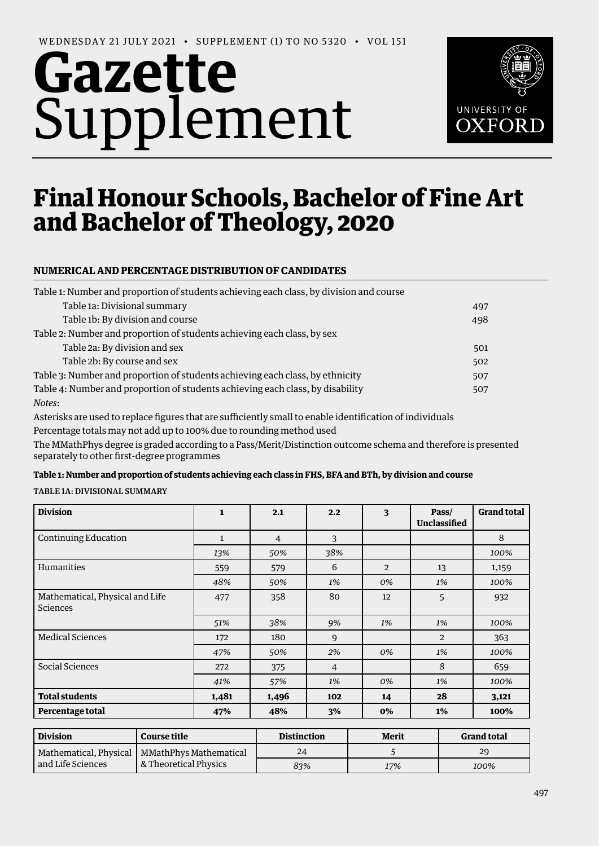# **Gazette** Supplement



## Final Honour Schools, Bachelor of Fine Art and Bachelor of Theology, 2020

### **NUMERICAL AND PERCENTAGE DISTRIBUTION OF CANDIDATES**

| Table 1: Number and proportion of students achieving each class, by division and course |     |
|-----------------------------------------------------------------------------------------|-----|
| Table 1a: Divisional summary                                                            | 497 |
| Table 1b: By division and course                                                        | 498 |
| Table 2: Number and proportion of students achieving each class, by sex                 |     |
| Table 2a: By division and sex                                                           | 501 |
| Table 2b: By course and sex                                                             | 502 |
| Table 3: Number and proportion of students achieving each class, by ethnicity           | 507 |
| Table 4: Number and proportion of students achieving each class, by disability          | 507 |
| Notes:                                                                                  |     |

Asterisks are used to replace figures that are sufficiently small to enable identification of individuals Percentage totals may not add up to 100% due to rounding method used

The MMathPhys degree is graded according to a Pass/Merit/Distinction outcome schema and therefore is presented separately to other first-degree programmes

#### **Table 1: Number and proportion of students achieving each class in FHS, BFA and BTh, by division and course**

TABLE 1A: DIVISIONAL SUMMARY

| <b>Division</b>                             | $\mathbf{1}$ | 2.1            | 2.2            | 3              | Pass/<br>Unclassified | <b>Grand total</b> |
|---------------------------------------------|--------------|----------------|----------------|----------------|-----------------------|--------------------|
| Continuing Education                        | $\mathbf{1}$ | $\overline{4}$ | 3              |                |                       | 8                  |
|                                             | 13%          | 50%            | 38%            |                |                       | 100%               |
| <b>Humanities</b>                           | 559          | 579            | 6              | $\overline{2}$ | 13                    | 1,159              |
|                                             | 48%          | 50%            | 1%             | 0%             | 1%                    | 100%               |
| Mathematical, Physical and Life<br>Sciences | 477          | 358            | 80             | 12             | 5                     | 932                |
|                                             | 51%          | 38%            | 9%             | 1%             | 1%                    | 100%               |
| Medical Sciences                            | 172          | 180            | 9              |                | 2                     | 363                |
|                                             | 47%          | 50%            | 2%             | 0%             | 1%                    | 100%               |
| Social Sciences                             | 272          | 375            | $\overline{4}$ |                | 8                     | 659                |
|                                             | 41%          | 57%            | 1%             | 0%             | 1%                    | 100%               |
| <b>Total students</b>                       | 1,481        | 1,496          | 102            | 14             | 28                    | 3,121              |
| Percentage total                            | 47%          | 48%            | 3%             | 0%             | $1\%$                 | 100%               |

| <b>Division</b>   | <b>Course title</b>                             | <b>Distinction</b> | Merit | <b>Grand total</b> |  |
|-------------------|-------------------------------------------------|--------------------|-------|--------------------|--|
|                   | Mathematical, Physical   MMathPhys Mathematical | 24                 |       | 29                 |  |
| and Life Sciences | & Theoretical Physics                           | 83%                | 17%   | 100%               |  |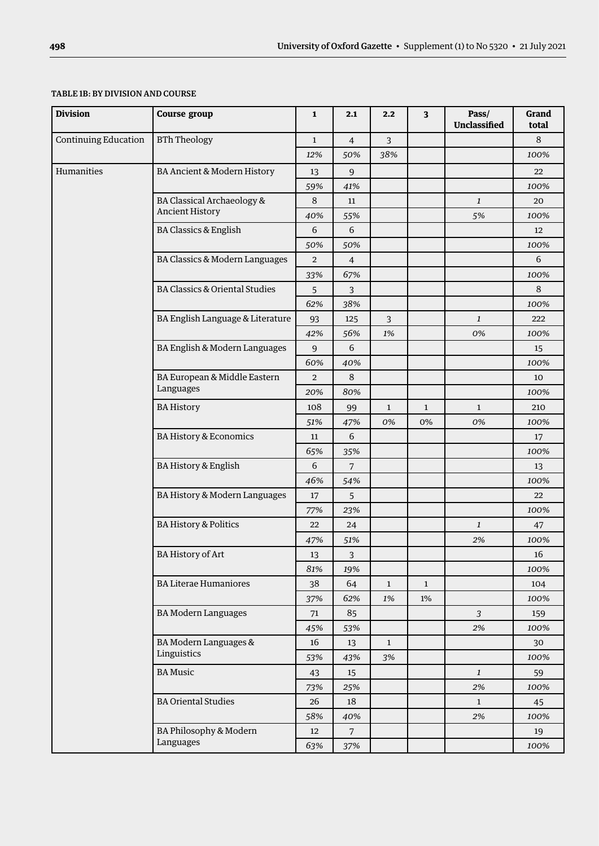#### TABLE 1B: BY DIVISION AND COURSE

| <b>Division</b>      | <b>Course group</b>                       | $\mathbf{1}$   | 2.1            | 2.2          | $\mathbf{3}$ | Pass/<br><b>Unclassified</b> | Grand<br>total |
|----------------------|-------------------------------------------|----------------|----------------|--------------|--------------|------------------------------|----------------|
| Continuing Education | <b>BTh Theology</b>                       | $\mathbf{1}$   | $\overline{4}$ | 3            |              |                              | 8              |
|                      |                                           | 12%            | 50%            | 38%          |              |                              | 100%           |
| Humanities           | BA Ancient & Modern History               | 13             | 9              |              |              |                              | 22             |
|                      |                                           | 59%            | 41%            |              |              |                              | 100%           |
|                      | <b>BA Classical Archaeology &amp;</b>     | 8              | 11             |              |              | $\mathbf{1}$                 | 20             |
|                      | <b>Ancient History</b>                    | 40%            | 55%            |              |              | 5%                           | 100%           |
|                      | <b>BA Classics &amp; English</b>          | 6              | 6              |              |              |                              | 12             |
|                      |                                           | 50%            | 50%            |              |              |                              | 100%           |
|                      | BA Classics & Modern Languages            | $\overline{2}$ | $\overline{4}$ |              |              |                              | 6              |
|                      |                                           | 33%            | 67%            |              |              |                              | 100%           |
|                      | <b>BA Classics &amp; Oriental Studies</b> | 5              | $\overline{3}$ |              |              |                              | $\,8\,$        |
|                      |                                           | 62%            | 38%            |              |              |                              | 100%           |
|                      | BA English Language & Literature          | 93             | 125            | 3            |              | $\mathbf{1}$                 | 222            |
|                      |                                           | 42%            | 56%            | 1%           |              | 0%                           | 100%           |
|                      | BA English & Modern Languages             | 9              | 6              |              |              |                              | 15             |
|                      |                                           | 60%            | 40%            |              |              |                              | 100%           |
|                      | BA European & Middle Eastern              | $\overline{2}$ | 8              |              |              |                              | 10             |
|                      | Languages                                 | 20%            | 80%            |              |              |                              | 100%           |
|                      | <b>BA History</b>                         | 108            | 99             | $\mathbf{1}$ | $\mathbf{1}$ | $\mathbf{1}$                 | 210            |
|                      |                                           | 51%            | 47%            | 0%           | 0%           | 0%                           | 100%           |
|                      | <b>BA History &amp; Economics</b>         | 11             | 6              |              |              |                              | 17             |
|                      |                                           | 65%            | 35%            |              |              |                              | 100%           |
|                      | BA History & English                      | 6              | 7              |              |              |                              | 13             |
|                      |                                           | 46%            | 54%            |              |              |                              | 100%           |
|                      | BA History & Modern Languages             | 17             | 5              |              |              |                              | 22             |
|                      |                                           | 77%            | 23%            |              |              |                              | 100%           |
|                      | <b>BA History &amp; Politics</b>          | 22             | 24             |              |              | $\mathbf{1}$                 | 47             |
|                      |                                           | 47%            | 51%            |              |              | 2%                           | 100%           |
|                      | <b>BA History of Art</b>                  | 13             | 3              |              |              |                              | 16             |
|                      |                                           | 81%            | 19%            |              |              |                              | 100%           |
|                      | <b>BA Literae Humaniores</b>              | 38             | 64             | $\mathbf{1}$ | $\mathbf{1}$ |                              | 104            |
|                      |                                           | 37%            | 62%            | 1%           | $1\%$        |                              | 100%           |
|                      | <b>BA Modern Languages</b>                | 71             | 85             |              |              | $\mathbf{3}$                 | 159            |
|                      |                                           | 45%            | 53%            |              |              | 2%                           | 100%           |
|                      | BA Modern Languages &                     | 16             | 13             | $\mathbf{1}$ |              |                              | 30             |
|                      | Linguistics                               | 53%            | 43%            | 3%           |              |                              | 100%           |
|                      | <b>BA</b> Music                           | 43             | 15             |              |              | $\mathbf{1}$                 | 59             |
|                      |                                           | 73%            | 25%            |              |              | 2%                           | 100%           |
|                      | <b>BA Oriental Studies</b>                | 26             | 18             |              |              | $\mathbf{1}$                 | 45             |
|                      |                                           | 58%            | 40%            |              |              | 2%                           | 100%           |
|                      | BA Philosophy & Modern                    | 12             | $\overline{7}$ |              |              |                              | 19             |
|                      | Languages                                 | 63%            | 37%            |              |              |                              | 100%           |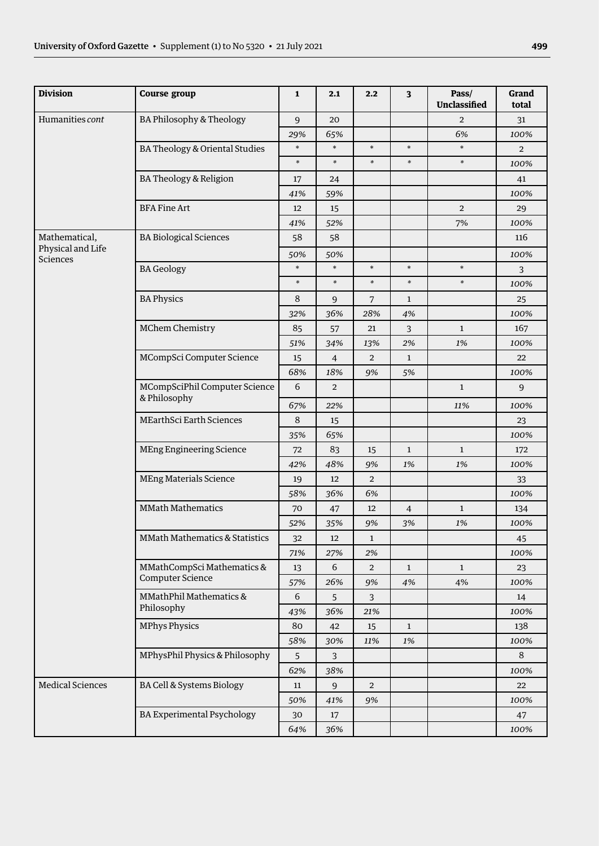| <b>Division</b>               | <b>Course group</b>                       | $\mathbf{1}$ | 2.1            | 2.2            | $\overline{\mathbf{3}}$ | Pass/<br><b>Unclassified</b> | Grand<br>total |
|-------------------------------|-------------------------------------------|--------------|----------------|----------------|-------------------------|------------------------------|----------------|
| Humanities cont               | BA Philosophy & Theology                  | 9            | 20             |                |                         | $\overline{2}$               | 31             |
|                               |                                           | 29%          | 65%            |                |                         | 6%                           | 100%           |
|                               | BA Theology & Oriental Studies            | $\ast$       | $\ast$         | $\ast$         | $\ast$                  | $\ast$                       | $\overline{2}$ |
|                               |                                           | $\ast$       | $\ast$         | $\ast$         | $\ast$                  | $\ast$                       | 100%           |
|                               | BA Theology & Religion                    | 17           | 24             |                |                         |                              | 41             |
|                               |                                           | 41%          | 59%            |                |                         |                              | 100%           |
| <b>BFA Fine Art</b>           |                                           | 12           | 15             |                |                         | $\mathbf 2$                  | 29             |
|                               |                                           | 41%          | 52%            |                |                         | 7%                           | 100%           |
| Mathematical,                 | <b>BA Biological Sciences</b>             | 58           | 58             |                |                         |                              | 116            |
| Physical and Life<br>Sciences |                                           | 50%          | 50%            |                |                         |                              | 100%           |
|                               | <b>BA Geology</b>                         | $\ast$       | $\ast$         | $\ast$         | $\ast$                  | $\ast$                       | $\overline{3}$ |
|                               |                                           | $\ast$       | $\ast$         | $\ast$         | $\ast$                  | $\ast$                       | 100%           |
|                               | <b>BA Physics</b>                         | 8            | $\overline{9}$ | $\overline{7}$ | $\mathbf{1}$            |                              | 25             |
|                               |                                           | 32%          | 36%            | 28%            | 4%                      |                              | 100%           |
|                               | MChem Chemistry                           | 85           | 57             | 21             | 3                       | $\mathbf{1}$                 | 167            |
|                               |                                           | 51%          | 34%            | 13%            | 2%                      | 1%                           | 100%           |
|                               | MCompSci Computer Science                 | 15           | $\overline{4}$ | $\overline{2}$ | $\mathbf{1}$            |                              | 22             |
|                               |                                           | 68%          | 18%            | 9%             | 5%                      |                              | 100%           |
| & Philosophy                  | MCompSciPhil Computer Science             | 6            | $\overline{2}$ |                |                         | $\mathbf{1}$                 | 9              |
|                               |                                           | 67%          | 22%            |                |                         | 11%                          | 100%           |
|                               | <b>MEarthSci Earth Sciences</b>           | $\,8\,$      | 15             |                |                         |                              | 23             |
|                               |                                           | 35%          | 65%            |                |                         |                              | 100%           |
|                               | <b>MEng Engineering Science</b>           | 72           | 83             | 15             | $\mathbf{1}$            | $\mathbf{1}$                 | 172            |
|                               |                                           | 42%          | 48%            | 9%             | $1\%$                   | $1\%$                        | 100%           |
|                               | <b>MEng Materials Science</b>             | 19           | 12             | $\overline{2}$ |                         |                              | 33             |
|                               |                                           | 58%          | 36%            | 6%             |                         |                              | 100%           |
|                               | <b>MMath Mathematics</b>                  | 70           | 47             | 12             | $\overline{4}$          | $\mathbf{1}$                 | 134            |
|                               |                                           | 52%          | 35%            | 9%             | 3%                      | $1\%$                        | 100%           |
|                               | <b>MMath Mathematics &amp; Statistics</b> | 32           | 12             | $\mathbf{1}$   |                         |                              | 45             |
|                               |                                           | 71%          | 27%            | 2%             |                         |                              | 100%           |
|                               | MMathCompSci Mathematics &                | 13           | 6              | $\overline{2}$ | $\mathbf{1}$            | $\mathbf{1}$                 | 23             |
|                               | Computer Science                          | 57%          | 26%            | 9%             | 4%                      | $4\%$                        | 100%           |
|                               | MMathPhil Mathematics &                   | 6            | 5              | 3              |                         |                              | 14             |
|                               | Philosophy                                | 43%          | 36%            | 21%            |                         |                              | 100%           |
|                               | <b>MPhys Physics</b>                      | 80           | 42             | 15             | $\mathbf{1}$            |                              | 138            |
|                               |                                           | 58%          | 30%            | 11%            | $1\%$                   |                              | 100%           |
|                               | MPhysPhil Physics & Philosophy            | 5            | 3              |                |                         |                              | 8              |
|                               |                                           | 62%          | 38%            |                |                         |                              | 100%           |
| <b>Medical Sciences</b>       | BA Cell & Systems Biology                 | 11           | $\overline{9}$ | $\overline{2}$ |                         |                              | 22             |
|                               |                                           | 50%          | 41%            | 9%             |                         |                              | 100%           |
|                               | <b>BA Experimental Psychology</b>         | 30           | 17             |                |                         |                              | 47             |
|                               |                                           | 64%          | 36%            |                |                         |                              | 100%           |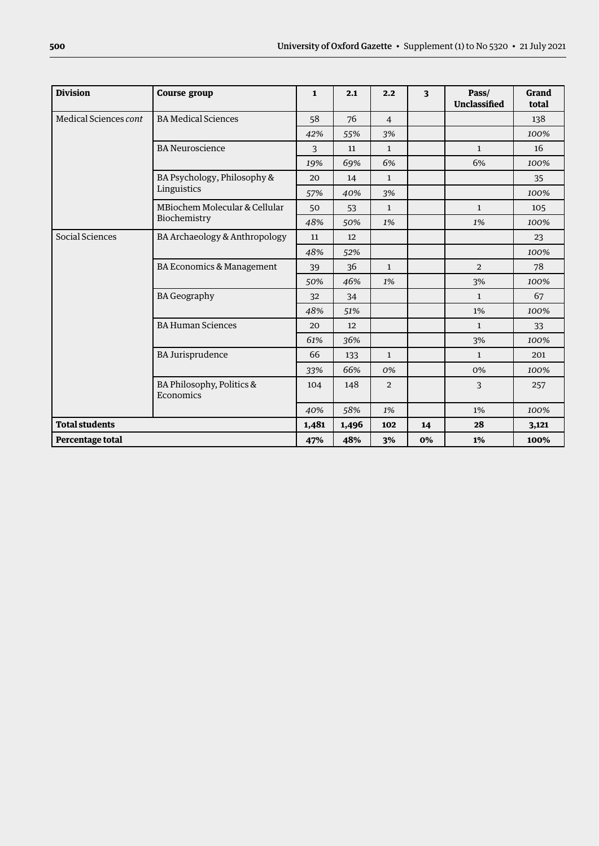| <b>Division</b>       | <b>Course group</b>                    | $\mathbf{1}$ | 2.1   | 2.2            | $\overline{\mathbf{3}}$ | Pass/<br><b>Unclassified</b> | Grand<br>total |
|-----------------------|----------------------------------------|--------------|-------|----------------|-------------------------|------------------------------|----------------|
| Medical Sciences cont | <b>BA Medical Sciences</b>             | 58           | 76    | $\overline{4}$ |                         |                              | 138            |
|                       |                                        | 42%          | 55%   | 3%             |                         |                              | 100%           |
|                       | <b>BA</b> Neuroscience                 | 3            | 11    | $\mathbf{1}$   |                         | $\mathbf{1}$                 | 16             |
|                       |                                        | 19%          | 69%   | 6%             |                         | 6%                           | 100%           |
|                       | BA Psychology, Philosophy &            | 20           | 14    | $\mathbf{1}$   |                         |                              | 35             |
|                       | Linguistics                            | 57%          | 40%   | 3%             |                         |                              | 100%           |
|                       | MBiochem Molecular & Cellular          | 50           | 53    | $\mathbf{1}$   |                         | $\mathbf{1}$                 | 105            |
|                       | Biochemistry                           | 48%          | 50%   | 1%             |                         | 1%                           | 100%           |
| Social Sciences       | BA Archaeology & Anthropology          | 11           | 12    |                |                         |                              | 23             |
|                       |                                        | 48%          | 52%   |                |                         |                              | 100%           |
|                       | BA Economics & Management              | 39           | 36    | $\mathbf{1}$   |                         | $\overline{2}$               | 78             |
|                       |                                        | 50%          | 46%   | 1%             |                         | 3%                           | 100%           |
|                       | <b>BA Geography</b>                    | 32           | 34    |                |                         | $\mathbf{1}$                 | 67             |
|                       |                                        | 48%          | 51%   |                |                         | 1%                           | 100%           |
|                       | <b>BA Human Sciences</b>               | 20           | 12    |                |                         | $\mathbf{1}$                 | 33             |
|                       |                                        | 61%          | 36%   |                |                         | 3%                           | 100%           |
|                       | <b>BA Jurisprudence</b>                | 66           | 133   | $\mathbf{1}$   |                         | $\mathbf{1}$                 | 201            |
|                       |                                        | 33%          | 66%   | 0%             |                         | 0%                           | 100%           |
|                       | BA Philosophy, Politics &<br>Economics | 104          | 148   | $\overline{2}$ |                         | 3                            | 257            |
|                       |                                        | 40%          | 58%   | 1%             |                         | 1%                           | 100%           |
| <b>Total students</b> |                                        | 1,481        | 1,496 | 102            | 14                      | 28                           | 3,121          |
| Percentage total      |                                        | 47%          | 48%   | 3%             | 0%                      | 1%                           | 100%           |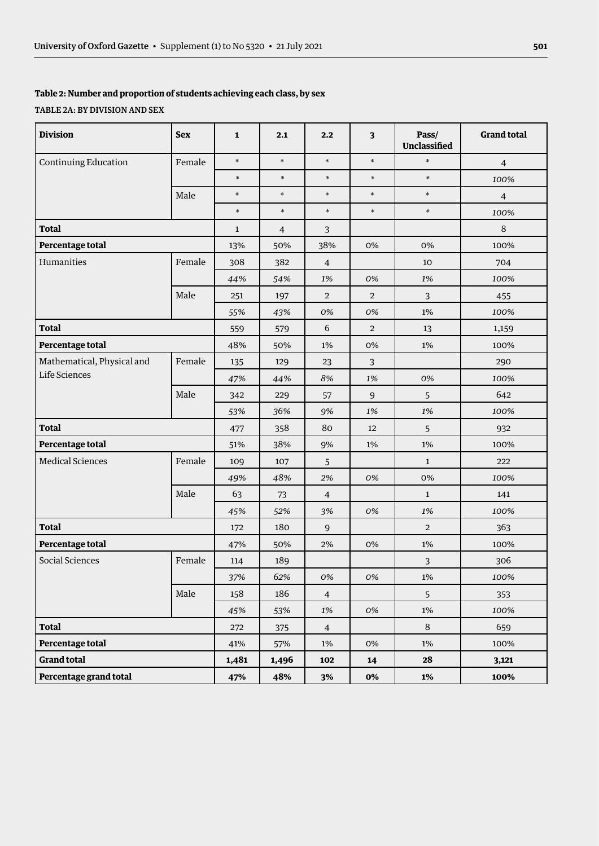#### **Table 2: Number and proportion of students achieving each class, by sex**

#### TABLE 2A: BY DIVISION AND SEX

| <b>Division</b>             | <b>Sex</b> | $\mathbf{1}$ | 2.1            | 2,2            | 3              | Pass/<br><b>Unclassified</b> | <b>Grand total</b> |
|-----------------------------|------------|--------------|----------------|----------------|----------------|------------------------------|--------------------|
| <b>Continuing Education</b> | Female     | $\ast$       | $\ast$         | $\ast$         | $\ast$         | $\ast$                       | $\overline{4}$     |
|                             |            | $\ast$       | $\ast$         | $\ast$         | $\ast$         | $\ast$                       | 100%               |
|                             | Male       | $\ast$       | $\ast$         | $\ast$         | $\ast$         | $\ast$                       | $\overline{4}$     |
|                             |            | $\ast$       | $\ast$         | $\ast$         | $\ast$         | $\ast$                       | 100%               |
| <b>Total</b>                |            | $\mathbf{1}$ | $\overline{4}$ | 3              |                |                              | $\,8\,$            |
| Percentage total            |            | 13%          | 50%            | 38%            | 0%             | 0%                           | 100%               |
| Humanities                  | Female     | 308          | 382            | $\overline{4}$ |                | 10                           | 704                |
|                             |            | 44%          | 54%            | 1%             | 0%             | 1%                           | 100%               |
|                             | Male       | 251          | 197            | $\overline{2}$ | $\overline{2}$ | $\overline{3}$               | 455                |
|                             |            | 55%          | 43%            | 0%             | 0%             | 1%                           | 100%               |
| <b>Total</b>                |            | 559          | 579            | 6              | $\overline{2}$ | 13                           | 1,159              |
| Percentage total            |            | 48%          | 50%            | 1%             | 0%             | $1\%$                        | 100%               |
| Mathematical, Physical and  | Female     | 135          | 129            | 23             | 3              |                              | 290                |
| Life Sciences               |            | 47%          | 44%            | 8%             | 1%             | 0%                           | 100%               |
|                             | Male       | 342          | 229            | 57             | $\overline{9}$ | 5                            | 642                |
|                             |            | 53%          | 36%            | 9%             | 1%             | 1%                           | 100%               |
| <b>Total</b>                |            | 477          | 358            | 80             | 12             | 5                            | 932                |
| Percentage total            |            | 51%          | 38%            | 9%             | 1%             | 1%                           | 100%               |
| <b>Medical Sciences</b>     | Female     | 109          | 107            | 5              |                | $\mathbf{1}$                 | 222                |
|                             |            | 49%          | 48%            | 2%             | 0%             | $0\%$                        | 100%               |
|                             | Male       | 63           | 73             | $\overline{4}$ |                | $\mathbf{1}$                 | 141                |
|                             |            | 45%          | 52%            | 3%             | 0%             | 1%                           | 100%               |
| <b>Total</b>                |            | 172          | 180            | 9              |                | $\overline{2}$               | 363                |
| Percentage total            |            | 47%          | 50%            | 2%             | $0\%$          | $1\%$                        | 100%               |
| Social Sciences             | Female     | 114          | 189            |                |                | $\mathbf{3}$                 | 306                |
|                             |            | 37%          | 62%            | 0%             | 0%             | $1\%$                        | 100%               |
|                             | Male       | 158          | 186            | $\overline{4}$ |                | 5                            | 353                |
|                             |            | 45%          | 53%            | 1%             | 0%             | $1\%$                        | 100%               |
| <b>Total</b>                |            | 272          | 375            | $\overline{4}$ |                | $\,8\,$                      | 659                |
| Percentage total            |            | 41%          | 57%            | $1\%$          | 0%             | 1%                           | 100%               |
| <b>Grand total</b>          |            | 1,481        | 1,496          | 102            | 14             | 28                           | 3,121              |
| Percentage grand total      |            | 47%          | 48%            | 3%             | 0%             | $1\%$                        | 100%               |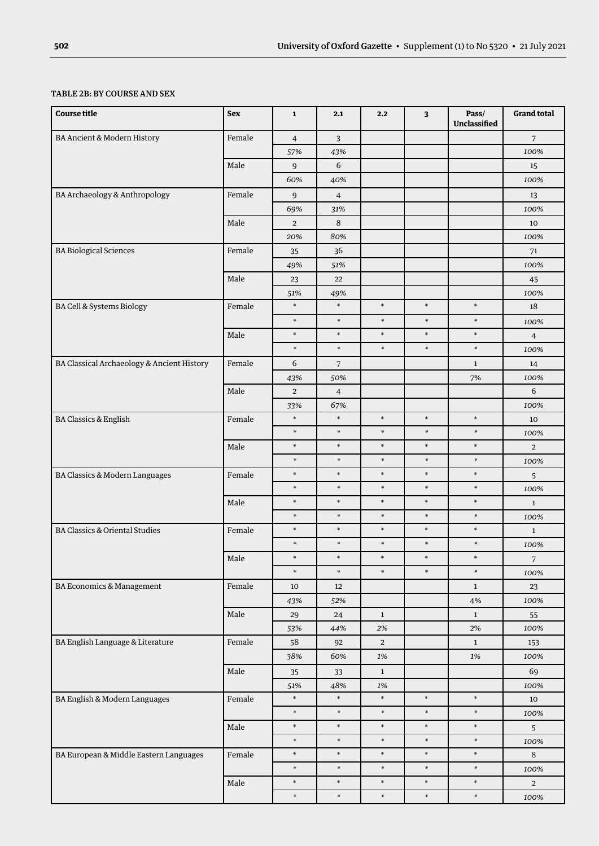#### TABLE 2B: BY COURSE AND SEX

| <b>Course title</b>                        | <b>Sex</b> | ${\bf 1}$      | 2.1            | 2.2            | 3      | Pass/<br>Unclassified | <b>Grand total</b>       |
|--------------------------------------------|------------|----------------|----------------|----------------|--------|-----------------------|--------------------------|
| BA Ancient & Modern History                | Female     | $\overline{4}$ | 3              |                |        |                       | $\overline{7}$           |
|                                            |            | 57%            | 43%            |                |        |                       | 100%                     |
|                                            | Male       | 9              | 6              |                |        |                       | 15                       |
|                                            |            | 60%            | 40%            |                |        |                       | 100%                     |
| BA Archaeology & Anthropology              | Female     | 9              | $\overline{4}$ |                |        |                       | 13                       |
|                                            |            | 69%            | 31%            |                |        |                       | 100%                     |
|                                            | Male       | $\overline{2}$ | 8              |                |        |                       | 10                       |
|                                            |            | 20%            | 80%            |                |        |                       | 100%                     |
| <b>BA Biological Sciences</b>              | Female     | 35             | 36             |                |        |                       | 71                       |
|                                            |            | 49%            | 51%            |                |        |                       | 100%                     |
|                                            | Male       | 23             | 22             |                |        |                       | 45                       |
|                                            |            | 51%            | 49%            |                |        |                       | 100%                     |
| BA Cell & Systems Biology                  | Female     | $\ast$         | $\ast$         | $\ast$         | $\ast$ | $\ast$                | 18                       |
|                                            |            | $\ast$         | $\ast$         | $\ast$         | $\ast$ | $\ast$                | 100%                     |
|                                            | Male       | $\ast$         | $\ast$         | $\ast$         | $\ast$ | $\ast$                | $\overline{\mathcal{A}}$ |
|                                            |            | $\ast$         | $\ast$         | $\ast$         | $\ast$ | $\ast$                | 100%                     |
| BA Classical Archaeology & Ancient History | Female     | 6              | $\sqrt{7}$     |                |        | $\mathbf{1}$          | 14                       |
|                                            |            | 43%            | 50%            |                |        | 7%                    | 100%                     |
|                                            | Male       | $\overline{2}$ | $\overline{4}$ |                |        |                       | 6                        |
|                                            |            | 33%            | 67%            |                |        |                       | 100%                     |
| BA Classics & English                      | Female     | $\ast$         | $\ast$         | $\ast$         | $\ast$ | $\ast$                | 10                       |
|                                            |            | $\ast$         | $\ast$         | $\ast$         | $\ast$ | $\ast$                | 100%                     |
|                                            | Male       | $\ast$         | $\ast$         | $\ast$         | $\ast$ | $\ast$                | $\overline{2}$           |
|                                            |            | $\ast$         | $\ast$         | $\ast$         | $\ast$ | $\ast$                | 100%                     |
| BA Classics & Modern Languages             | Female     | $\ast$         | $\ast$         | $\ast$         | $\ast$ | $\ast$                | 5                        |
|                                            |            | $\ast$         | $\ast$         | $\ast$         | $\ast$ | $\ast$                | 100%                     |
|                                            | Male       | $\ast$         | $\ast$         | $\ast$         | $\ast$ | $\ast$                | $\mathbf{1}$             |
|                                            |            | $\ast$         | $\ast$         | $\ast$         | $\ast$ | $\ast$                | 100%                     |
| <b>BA Classics &amp; Oriental Studies</b>  | Female     | $\ast$         | $\ast$         | $\ast$         | $\ast$ | $\ast$                | $\mathbf{1}$             |
|                                            |            | $\ast$         | *              | $\ast$         | $\ast$ | $\ast$                | 100%                     |
|                                            | Male       | $\ast$         | $\ast$         | $\ast$         | $\ast$ | $\ast$                | 7                        |
|                                            |            | $\ast$         | $\ast$         | $\ast$         | $\ast$ | $\ast$                | 100%                     |
| BA Economics & Management                  | Female     | $10\,$         | 12             |                |        | $\mathbf{1}$          | 23                       |
|                                            |            | 43%            | 52%            |                |        | $4\%$                 | 100%                     |
|                                            | Male       | 29             | 24             | $\mathbf{1}$   |        | $\mathbf{1}$          | 55                       |
|                                            |            | 53%            | 44%            | 2%             |        | $2\%$                 | 100%                     |
| BA English Language & Literature           | Female     | 58             | 92             | $\overline{2}$ |        | $1\,$                 | 153                      |
|                                            |            | 38%            | 60%            | 1%             |        | $1\%$                 | 100%                     |
|                                            | Male       | 35             | $33\,$         | $\mathbf{1}$   |        |                       | 69                       |
|                                            |            | 51%            | 48%            | $1\%$          |        |                       | 100%                     |
| BA English & Modern Languages              | Female     | $\ast$         | $\ast$         | $\ast$         | $\ast$ | $\ast$                | $10\,$                   |
|                                            |            | $\ast$         | $\ast$         | $\ast$         | $\ast$ | $\ast$                | 100%                     |
|                                            | $\rm Male$ | $\ast$         | $\ast$         | $\ast$         | $\ast$ | $\ast$                | 5                        |
|                                            |            | $\ast$         | $\ast$         | $\ast$         | $\ast$ | $\ast$                | 100%                     |
| BA European & Middle Eastern Languages     | Female     | $\ast$         | $\ast$         | $\ast$         | $\ast$ | $\ast$                | 8                        |
|                                            |            | $\ast$         | $\ast$         | $\ast$         | $\ast$ | $\ast$                | 100%                     |
|                                            | Male       | $\ast$         | $\ast$         | $\ast$         | $\ast$ | $\ast$                | $\mathbf{2}$             |
|                                            |            | $\ast$         | $\ast$         | $\ast$         | $\ast$ | $\ast$                | 100%                     |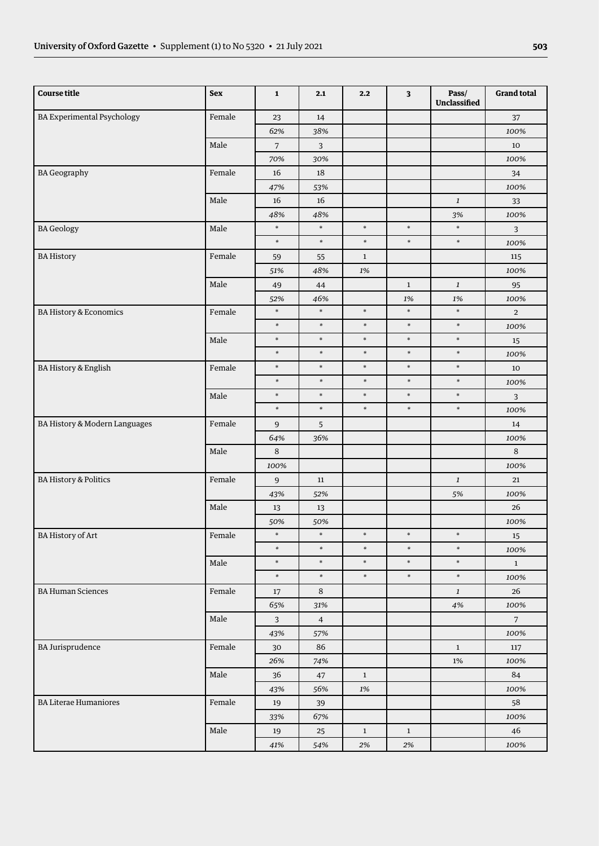| <b>Course title</b>               | Sex    | $\mathbf 1$             | 2.1              | 2.2              | $\overline{\mathbf{3}}$ | Pass/<br>Unclassified | <b>Grand total</b> |
|-----------------------------------|--------|-------------------------|------------------|------------------|-------------------------|-----------------------|--------------------|
| <b>BA Experimental Psychology</b> | Female | 23                      | $14\,$           |                  |                         |                       | 37                 |
|                                   |        | 62%                     | 38%              |                  |                         |                       | 100%               |
|                                   | Male   | $\overline{7}$          | 3                |                  |                         |                       | 10                 |
|                                   |        | 70%                     | 30%              |                  |                         |                       | 100%               |
| <b>BA</b> Geography               | Female | 16                      | 18               |                  |                         |                       | 34                 |
|                                   |        | 47%                     | 53%              |                  |                         |                       | 100%               |
|                                   | Male   | 16                      | 16               |                  |                         | $\mathbf{1}$          | 33                 |
|                                   |        | 48%                     | 48%              |                  |                         | 3%                    | 100%               |
| <b>BA</b> Geology                 | Male   | $\ast$                  | $\ast$           | $\ast$           | $\ast$                  | $\ast$                | 3                  |
|                                   |        | $\ast$                  | $\ast$           | $\ast$           | $\ast$                  | $\ast$                | 100%               |
| <b>BA History</b>                 | Female | 59                      | 55               | $\mathbf{1}$     |                         |                       | 115                |
|                                   |        | 51%                     | 48%              | $1\%$            |                         |                       | 100%               |
|                                   | Male   | 49                      | 44               |                  | $\mathbf{1}$            | $\boldsymbol{1}$      | 95                 |
|                                   |        | 52%                     | 46%              |                  | $1\%$                   | $1\%$                 | 100%               |
| <b>BA History &amp; Economics</b> | Female | $\ast$                  | $\ast$           | $\ast$           | $\ast$                  | $\ast$                | $\overline{2}$     |
|                                   |        | $\ast$                  | $\ast$           | $\ast$           | $\ast$                  | $\ast$                | 100%               |
|                                   | Male   | $\ast$                  | $\ast$           | $\ast$           | $\ast$                  | $\ast$                | 15                 |
|                                   |        | $\ast$                  | $\ast$           | $\ast$           | $\ast$                  | $\ast$                | 100%               |
| <b>BA History &amp; English</b>   | Female | $\ast$                  | $\ast$           | $\ast$           | $\ast$                  | $\ast$                | 10                 |
|                                   |        | $\ast$                  | $\ast$           | $\ast$           | $\ast$                  | $\ast$                | 100%               |
|                                   | Male   | $\ast$                  | $\ast$           | $\ast$           | $\ast$                  | $\ast$                | $\overline{3}$     |
|                                   |        | $\ast$                  | $\ast$           | $\ast$           | $\ast$                  | $\ast$                | 100%               |
| BA History & Modern Languages     | Female | $\boldsymbol{9}$        | 5                |                  |                         |                       | 14                 |
|                                   |        | 64%                     | 36%              |                  |                         |                       | 100%               |
|                                   | Male   | $\,8\,$                 |                  |                  |                         |                       | 8                  |
|                                   |        | 100%                    |                  |                  |                         |                       | 100%               |
| <b>BA History &amp; Politics</b>  | Female | $\boldsymbol{9}$        | 11               |                  |                         | $\mathbf{1}$          | 21                 |
|                                   |        | 43%                     | 52%              |                  |                         | 5%                    | 100%               |
|                                   | Male   | 13                      | 13               |                  |                         |                       | 26                 |
|                                   |        | 50%                     | 50%              |                  |                         |                       | 100%               |
| BA History of Art                 | Female | $\ast$                  | $\ast$           | $\ast$           | $\ast$                  | $\ast$                | 15                 |
|                                   |        | $\ast$<br>$\ast$        | $\ast$           | $\ast$           | $\ast$<br>$\ast$        | $\ast$<br>$\ast$      | 100%               |
|                                   | Male   | $\ast$                  | $\ast$<br>$\ast$ | $\ast$<br>$\ast$ | $\ast$                  | $\ast$                | $\mathbf 1$        |
|                                   |        |                         |                  |                  |                         |                       | 100%               |
| <b>BA Human Sciences</b>          | Female | 17                      | 8                |                  |                         | $\boldsymbol{1}$      | 26                 |
|                                   |        | 65%                     | 31%              |                  |                         | $4\%$                 | 100%               |
|                                   | Male   | $\overline{\mathbf{3}}$ | $\overline{4}$   |                  |                         |                       | 7 <sup>7</sup>     |
|                                   |        | 43%                     | 57%              |                  |                         |                       | 100%               |
| <b>BA Jurisprudence</b>           | Female | 30                      | 86               |                  |                         | $\mathbf{1}$          | 117                |
|                                   |        | 26%                     | 74%              |                  |                         | $1\%$                 | 100%               |
|                                   | Male   | 36                      | 47               | $\mathbf 1$      |                         |                       | 84                 |
|                                   |        | 43%                     | 56%              | 1%               |                         |                       | 100%               |
| <b>BA Literae Humaniores</b>      | Female | 19                      | 39               |                  |                         |                       | 58                 |
|                                   |        | 33%                     | 67%              |                  |                         |                       | 100%               |
|                                   | Male   | 19                      | 25               | $\mathbf{1}$     | $\mathbf{1}$            |                       | 46                 |
|                                   |        | 41%                     | 54%              | 2%               | $2\%$                   |                       | 100%               |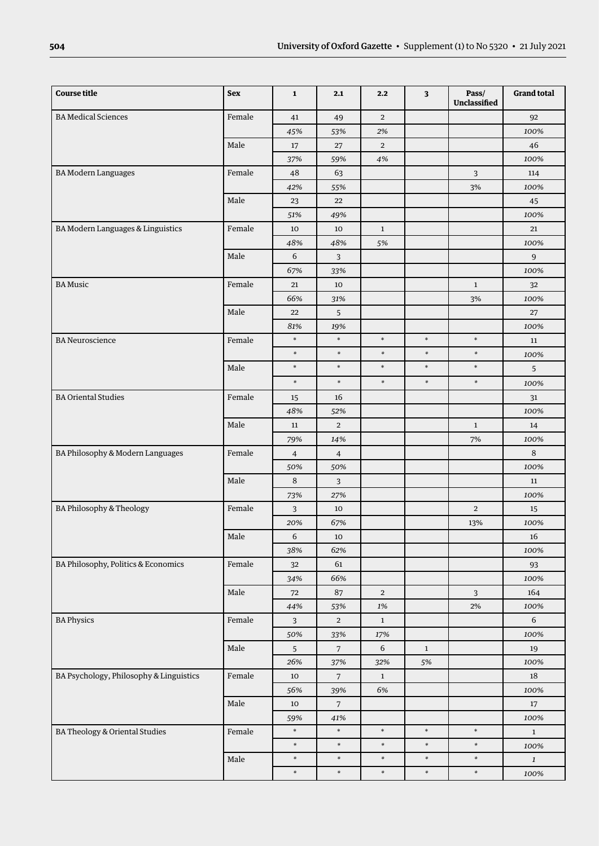| <b>Course title</b>                     | <b>Sex</b> | $\mathbf{1}$   | 2.1            | 2.2            | 3            | Pass/<br>Unclassified | <b>Grand total</b> |
|-----------------------------------------|------------|----------------|----------------|----------------|--------------|-----------------------|--------------------|
| <b>BA Medical Sciences</b>              | Female     | 41             | 49             | $\overline{2}$ |              |                       | 92                 |
|                                         |            | 45%            | 53%            | 2%             |              |                       | 100%               |
|                                         | Male       | 17             | 27             | $\overline{2}$ |              |                       | 46                 |
|                                         |            | 37%            | 59%            | 4%             |              |                       | 100%               |
| <b>BA Modern Languages</b>              | Female     | 48             | 63             |                |              | 3                     | 114                |
|                                         |            | 42%            | 55%            |                |              | $3%$                  | 100%               |
|                                         | Male       | 23             | 22             |                |              |                       | 45                 |
|                                         |            | 51%            | 49%            |                |              |                       | 100%               |
| BA Modern Languages & Linguistics       | Female     | 10             | 10             | $\mathbf{1}$   |              |                       | 21                 |
|                                         |            | 48%            | 48%            | 5%             |              |                       | 100%               |
|                                         | Male       | $\sqrt{6}$     | $\overline{3}$ |                |              |                       | 9                  |
|                                         |            | 67%            | 33%            |                |              |                       | 100%               |
| <b>BA Music</b>                         | Female     | 21             | 10             |                |              | $\mathbf{1}$          | 32                 |
|                                         |            | 66%            | 31%            |                |              | 3%                    | 100%               |
|                                         | Male       | 22             | 5              |                |              |                       | 27                 |
|                                         |            | 81%            | 19%            |                |              |                       | 100%               |
| <b>BA Neuroscience</b>                  | Female     | $\ast$         | $\ast$         | $\ast$         | $\ast$       | $\ast$                | 11                 |
|                                         |            | $\ast$         | $\ast$         | $\ast$         | $\ast$       | $\ast$                | 100%               |
|                                         | Male       | $\ast$         | $\ast$         | $\ast$         | $\ast$       | $\ast$                | 5                  |
|                                         |            | $\ast$         | $\ast$         | $\ast$         | $\ast$       | $\ast$                | 100%               |
| <b>BA Oriental Studies</b>              | Female     | 15             | 16             |                |              |                       | 31                 |
|                                         |            | 48%            | 52%            |                |              |                       | 100%               |
|                                         | Male       | 11             | $\overline{2}$ |                |              | $\mathbf{1}$          | 14                 |
|                                         |            | 79%            | 14%            |                |              | 7%                    | 100%               |
| BA Philosophy & Modern Languages        | Female     | $\overline{4}$ | $\overline{4}$ |                |              |                       | 8                  |
|                                         |            | 50%            | 50%            |                |              |                       | 100%               |
|                                         | Male       | $\,8\,$        | 3              |                |              |                       | 11                 |
|                                         |            | 73%            | 27%            |                |              |                       | 100%               |
| BA Philosophy & Theology                | Female     | $\mathbf{3}$   | 10             |                |              | $\overline{2}$        | 15                 |
|                                         |            | 20%            | 67%            |                |              | 13%                   | 100%               |
|                                         | Male       | 6              | 10             |                |              |                       | 16                 |
|                                         |            | 38%            | 62%            |                |              |                       | 100%               |
| BA Philosophy, Politics & Economics     | Female     | 32             | 61             |                |              |                       | 93                 |
|                                         |            | 34%            | 66%            |                |              |                       | 100%               |
|                                         | Male       | 72             | $87\,$         | $\overline{2}$ |              | 3                     | 164                |
|                                         |            | 44%            | 53%            | $1\%$          |              | $2\%$                 | 100%               |
| <b>BA Physics</b>                       | Female     | 3              | $\overline{2}$ | $\mathbf{1}$   |              |                       | 6                  |
|                                         |            | 50%            | 33%            | 17%            |              |                       | 100%               |
|                                         | Male       | $\sqrt{5}$     | $\overline{7}$ | $\sqrt{6}$     | $\mathbf{1}$ |                       | 19                 |
|                                         |            | 26%            | 37%            | 32%            | 5%           |                       | 100%               |
| BA Psychology, Philosophy & Linguistics | Female     | $10\,$         | $\overline{7}$ | $\mathbf{1}$   |              |                       | 18                 |
|                                         |            | 56%            | 39%            | 6%             |              |                       | 100%               |
|                                         | Male       | 10             | $\overline{7}$ |                |              |                       | $17\,$             |
|                                         |            | 59%            | 41%            |                |              |                       | 100%               |
| BA Theology & Oriental Studies          | Female     | $\ast$         | $\ast$         | $\ast$         | $\ast$       | $\ast$                | $\mathbf 1$        |
|                                         |            | $\ast$         | $\ast$         | $\ast$         | $\ast$       | $\ast$                | 100%               |
|                                         | $\rm Male$ | $\ast$         | $\ast$         | $\ast$         | $\ast$       | $\ast$                | $\mathbf{1}$       |
|                                         |            | $\ast$         | $\ast$         | $\ast$         | $\ast$       | $\ast$                | 100%               |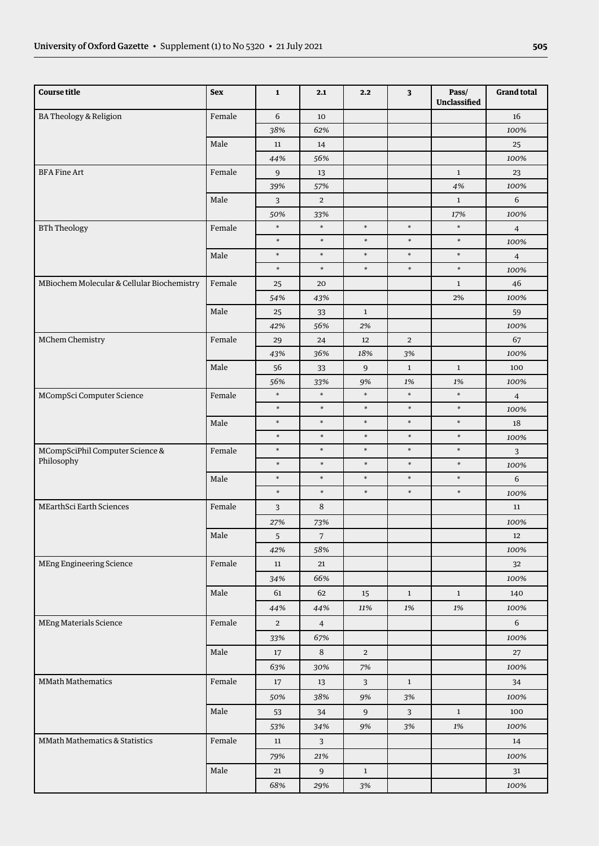| <b>Course title</b>                           | <b>Sex</b> | $\mathbf 1$      | 2.1            | 2.2            | 3              | Pass/<br><b>Unclassified</b> | <b>Grand total</b> |
|-----------------------------------------------|------------|------------------|----------------|----------------|----------------|------------------------------|--------------------|
| BA Theology & Religion                        | Female     | $\,$ 6 $\,$      | 10             |                |                |                              | 16                 |
|                                               |            | 38%              | 62%            |                |                |                              | 100%               |
|                                               | Male       | $11\,$           | 14             |                |                |                              | 25                 |
|                                               |            | 44%              | 56%            |                |                |                              | 100%               |
| <b>BFA Fine Art</b>                           | Female     | $\boldsymbol{9}$ | 13             |                |                | $\mathbf{1}$                 | 23                 |
|                                               |            | 39%              | 57%            |                |                | $4\%$                        | 100%               |
|                                               | Male       | 3                | $\overline{2}$ |                |                | $\mathbf{1}$                 | $\,$ 6 $\,$        |
|                                               |            | 50%              | 33%            |                |                | 17%                          | 100%               |
| <b>BTh Theology</b>                           | Female     | $\ast$           | $\ast$         | $\ast$         | $\ast$         | $\ast$                       | $\overline{4}$     |
|                                               |            | $\ast$           | $\ast$         | $\ast$         | $\ast$         | $\ast$                       | 100%               |
|                                               | Male       | $\ast$           | $\ast$         | $\ast$         | $\ast$         | $\ast$                       | $\overline{4}$     |
|                                               |            | $\ast$           | $\ast$         | $\ast$         | $\ast$         | $\ast$                       | 100%               |
| MBiochem Molecular & Cellular Biochemistry    | Female     | $25\,$           | 20             |                |                | $\mathbf{1}$                 | 46                 |
|                                               |            | 54%              | 43%            |                |                | 2%                           | 100%               |
|                                               | Male       | $25\,$           | 33             | $\mathbf{1}$   |                |                              | 59                 |
|                                               |            | 42%              | 56%            | 2%             |                |                              | 100%               |
| MChem Chemistry                               | Female     | 29               | 24             | 12             | $\overline{2}$ |                              | 67                 |
|                                               |            | 43%              | 36%            | 18%            | 3%             |                              | 100%               |
|                                               | Male       | 56               | 33             | 9              | $\mathbf{1}$   | $\mathbf{1}$                 | 100                |
|                                               |            | 56%              | 33%            | 9%             | 1%             | 1%                           | 100%               |
| MCompSci Computer Science                     | Female     | $\ast$           | $\ast$         | $\ast$         | $\ast$         | $\ast$                       | $\overline{4}$     |
|                                               |            | $\ast$           | $\ast$         | $\ast$         | $\ast$         | $\ast$                       | 100%               |
|                                               | Male       | $\ast$           | $\ast$         | $\ast$         | $\ast$         | $\ast$                       | 18                 |
|                                               |            | $\ast$           | $\ast$         | $\ast$         | $\ast$         | $\ast$                       | 100%               |
| MCompSciPhil Computer Science &<br>Philosophy | Female     | $\ast$           | $\ast$         | $\ast$         | $\ast$         | $\ast$                       | 3                  |
|                                               |            | $\ast$           | $\ast$         | $\ast$         | $\ast$         | $\ast$                       | 100%               |
|                                               | Male       | $\ast$           | $\ast$         | $\ast$         | $\ast$         | $\ast$                       | 6                  |
|                                               |            | $\ast$           | $\ast$         | $\ast$         | $\ast$         | $\ast$                       | 100%               |
| <b>MEarthSci Earth Sciences</b>               | Female     | 3                | 8              |                |                |                              | 11                 |
|                                               |            | 27%              | 73%            |                |                |                              | 100%               |
|                                               | $\rm Male$ | $\mathsf S$      | $\sqrt{7}$     |                |                |                              | 12                 |
|                                               |            | 42%              | 58%            |                |                |                              | 100%               |
| MEng Engineering Science                      | Female     | $11\,$           | 21             |                |                |                              | 32                 |
|                                               |            | 34%              | 66%            |                |                |                              | 100%               |
|                                               | Male       | 61               | 62             | 15             | $\mathbf{1}$   | $\mathbf{1}$                 | 140                |
|                                               |            | 44%              | 44%            | 11%            | 1%             | 1%                           | 100%               |
| <b>MEng Materials Science</b>                 | Female     | $\overline{2}$   | $\overline{4}$ |                |                |                              | 6                  |
|                                               |            | 33%              | 67%            |                |                |                              | 100%               |
|                                               | Male       | 17               | 8              | $\overline{2}$ |                |                              | 27                 |
|                                               |            | 63%              | 30%            | 7%             |                |                              | 100%               |
| <b>MMath Mathematics</b>                      | Female     | 17               | 13             | $\mathbf{3}$   | $\mathbf{1}$   |                              | 34                 |
|                                               |            | 50%              | 38%            | 9%             | 3%             |                              | 100%               |
|                                               | Male       | 53               | 34             | $\overline{9}$ | $\overline{3}$ | $\,$ 1 $\,$                  | 100                |
|                                               |            | 53%              | 34%            | 9%             | 3%             | 1%                           | 100%               |
| <b>MMath Mathematics &amp; Statistics</b>     | Female     | $11\,$           | 3              |                |                |                              | 14                 |
|                                               |            | 79%              | 21%            |                |                |                              | 100%               |
|                                               | Male       | 21               | $\overline{9}$ | $\mathbf{1}$   |                |                              | 31                 |
|                                               |            | 68%              | 29%            | $3\%$          |                |                              | 100%               |
|                                               |            |                  |                |                |                |                              |                    |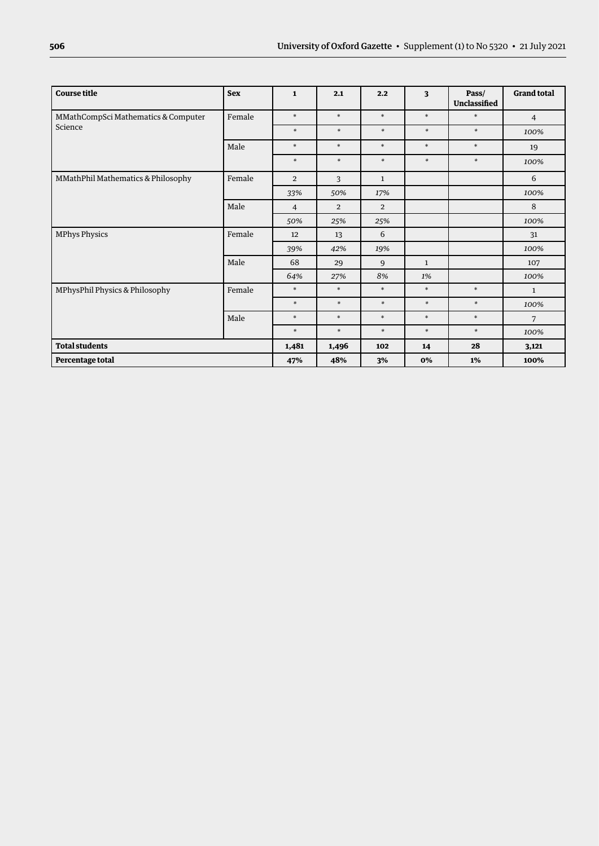| <b>Course title</b>                 | <b>Sex</b> | $\mathbf{1}$   | 2.1            | 2.2            | $\overline{\mathbf{3}}$ | Pass/<br>Unclassified | <b>Grand total</b> |
|-------------------------------------|------------|----------------|----------------|----------------|-------------------------|-----------------------|--------------------|
| MMathCompSci Mathematics & Computer | Female     | $\ast$         | $\ast$         | $\ast$         | $\ast$                  | $\ast$                | $\overline{4}$     |
| Science                             |            | $\ast$         | $\ast$         | $\ast$         | $\ast$                  | $\ast$                | 100%               |
|                                     | Male       | $\ast$         | $\ast$         | $\ast$         | $\ast$                  | $\ast$                | 19                 |
|                                     |            | $\ast$         | $\ast$         | $\ast$         | $\ast$                  | $\ast$                | 100%               |
| MMathPhil Mathematics & Philosophy  | Female     | $\overline{2}$ | 3              | $\mathbf{1}$   |                         |                       | 6                  |
|                                     |            | 33%            | 50%            | 17%            |                         |                       | 100%               |
|                                     | Male       | $\overline{4}$ | $\overline{2}$ | $\overline{2}$ |                         |                       | 8                  |
|                                     |            | 50%            | 25%            | 25%            |                         |                       | 100%               |
| <b>MPhys Physics</b>                | Female     | 12             | 13             | 6              |                         |                       | 31                 |
|                                     |            | 39%            | 42%            | 19%            |                         |                       | 100%               |
|                                     | Male       | 68             | 29             | 9              | $\mathbf{1}$            |                       | 107                |
|                                     |            | 64%            | 27%            | 8%             | 1%                      |                       | 100%               |
| MPhysPhil Physics & Philosophy      | Female     | $\ast$         | $\ast$         | $\ast$         | $\ast$                  | $\ast$                | $\mathbf{1}$       |
|                                     |            | $\ast$         | $\ast$         | $\ast$         | $\ast$                  | $\ast$                | 100%               |
|                                     | Male       | $\ast$         | $\ast$         | $\ast$         | $\ast$                  | $\ast$                | 7                  |
|                                     |            | $\ast$         | $\ast$         | $\ast$         | $\ast$                  | $\ast$                | 100%               |
| <b>Total students</b>               |            | 1,481          | 1,496          | 102            | 14                      | 28                    | 3,121              |
| Percentage total                    |            | 47%            | 48%            | 3%             | 0%                      | 1%                    | 100%               |